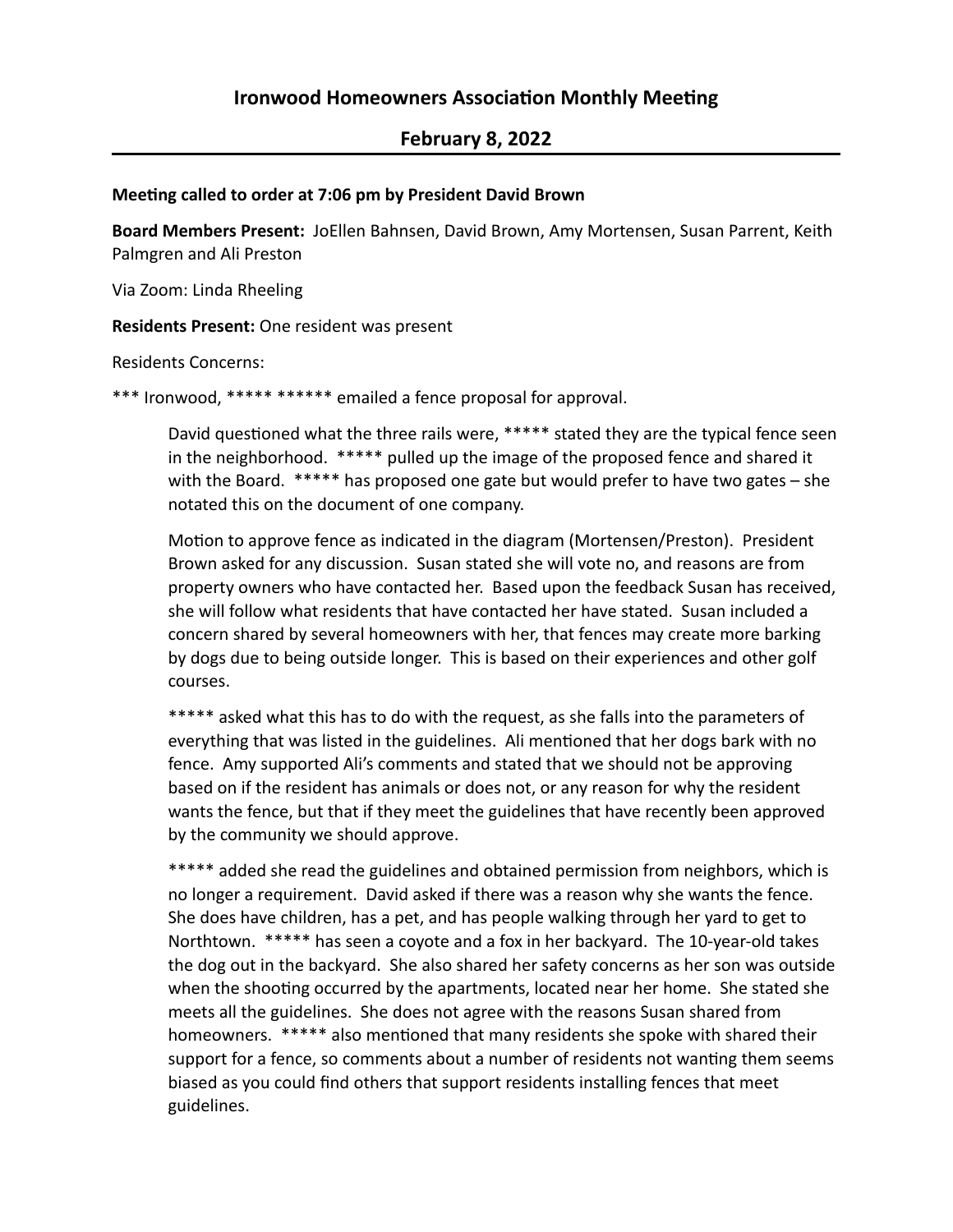# **February 8, 2022**

#### **Meeting called to order at 7:06 pm by President David Brown**

Board Members Present: JoEllen Bahnsen, David Brown, Amy Mortensen, Susan Parrent, Keith Palmgren and Ali Preston

Via Zoom: Linda Rheeling

**Residents Present:** One resident was present

Residents Concerns:

\*\*\* Ironwood, \*\*\*\*\* \*\*\*\*\*\* emailed a fence proposal for approval.

David questioned what the three rails were, \*\*\*\*\* stated they are the typical fence seen in the neighborhood. \*\*\*\*\* pulled up the image of the proposed fence and shared it with the Board.  $*****$  has proposed one gate but would prefer to have two gates – she notated this on the document of one company.

Motion to approve fence as indicated in the diagram (Mortensen/Preston). President Brown asked for any discussion. Susan stated she will vote no, and reasons are from property owners who have contacted her. Based upon the feedback Susan has received, she will follow what residents that have contacted her have stated. Susan included a concern shared by several homeowners with her, that fences may create more barking by dogs due to being outside longer. This is based on their experiences and other golf courses.

\*\*\*\*\* asked what this has to do with the request, as she falls into the parameters of everything that was listed in the guidelines. Ali mentioned that her dogs bark with no fence. Amy supported Ali's comments and stated that we should not be approving based on if the resident has animals or does not, or any reason for why the resident wants the fence, but that if they meet the guidelines that have recently been approved by the community we should approve.

\*\*\*\*\* added she read the guidelines and obtained permission from neighbors, which is no longer a requirement. David asked if there was a reason why she wants the fence. She does have children, has a pet, and has people walking through her yard to get to Northtown. \*\*\*\*\* has seen a coyote and a fox in her backyard. The 10-year-old takes the dog out in the backyard. She also shared her safety concerns as her son was outside when the shooting occurred by the apartments, located near her home. She stated she meets all the guidelines. She does not agree with the reasons Susan shared from homeowners. \*\*\*\*\* also mentioned that many residents she spoke with shared their support for a fence, so comments about a number of residents not wanting them seems biased as you could find others that support residents installing fences that meet guidelines.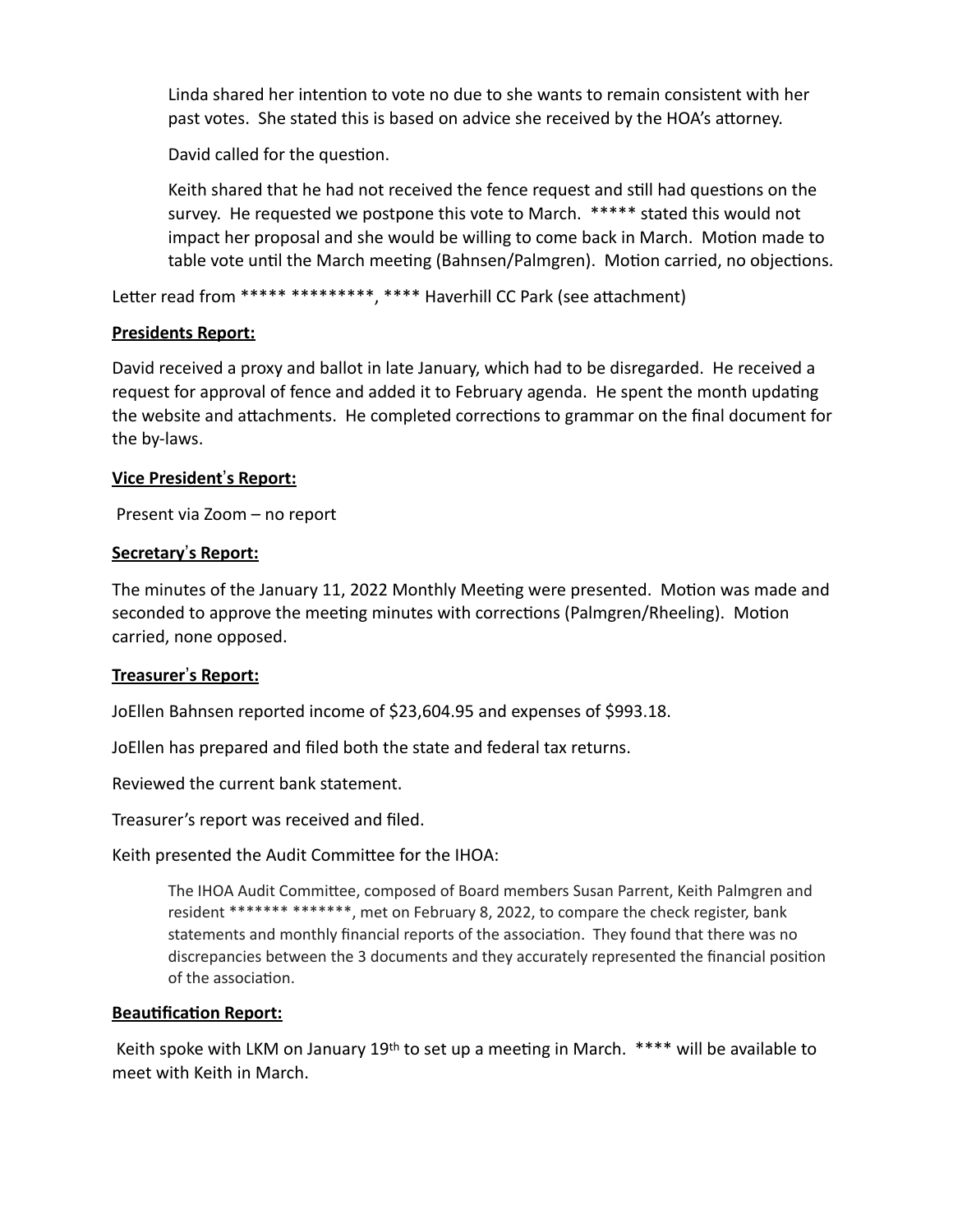Linda shared her intention to vote no due to she wants to remain consistent with her past votes. She stated this is based on advice she received by the HOA's attorney.

David called for the question.

Keith shared that he had not received the fence request and still had questions on the survey. He requested we postpone this vote to March. \*\*\*\*\* stated this would not impact her proposal and she would be willing to come back in March. Motion made to table vote until the March meeting (Bahnsen/Palmgren). Motion carried, no objections.

Letter read from \*\*\*\*\* \*\*\*\*\*\*\*\*\*\*, \*\*\*\* Haverhill CC Park (see attachment)

# **Presidents Report:**

David received a proxy and ballot in late January, which had to be disregarded. He received a request for approval of fence and added it to February agenda. He spent the month updating the website and attachments. He completed corrections to grammar on the final document for the by-laws.

# **<u>Vice President's Report:</u>**

Present via Zoom – no report

# **Secretary's Report:**

The minutes of the January 11, 2022 Monthly Meeting were presented. Motion was made and seconded to approve the meeting minutes with corrections (Palmgren/Rheeling). Motion carried, none opposed.

## **Treasurer's Report:**

JoEllen Bahnsen reported income of \$23,604.95 and expenses of \$993.18.

JoEllen has prepared and filed both the state and federal tax returns.

Reviewed the current bank statement.

Treasurer's report was received and filed.

Keith presented the Audit Committee for the IHOA:

The IHOA Audit Committee, composed of Board members Susan Parrent, Keith Palmgren and resident \*\*\*\*\*\*\* \*\*\*\*\*\*\*, met on February 8, 2022, to compare the check register, bank statements and monthly financial reports of the association. They found that there was no discrepancies between the 3 documents and they accurately represented the financial position of the association.

## **Beautification Report:**

Keith spoke with LKM on January 19<sup>th</sup> to set up a meeting in March.  $***$  will be available to meet with Keith in March.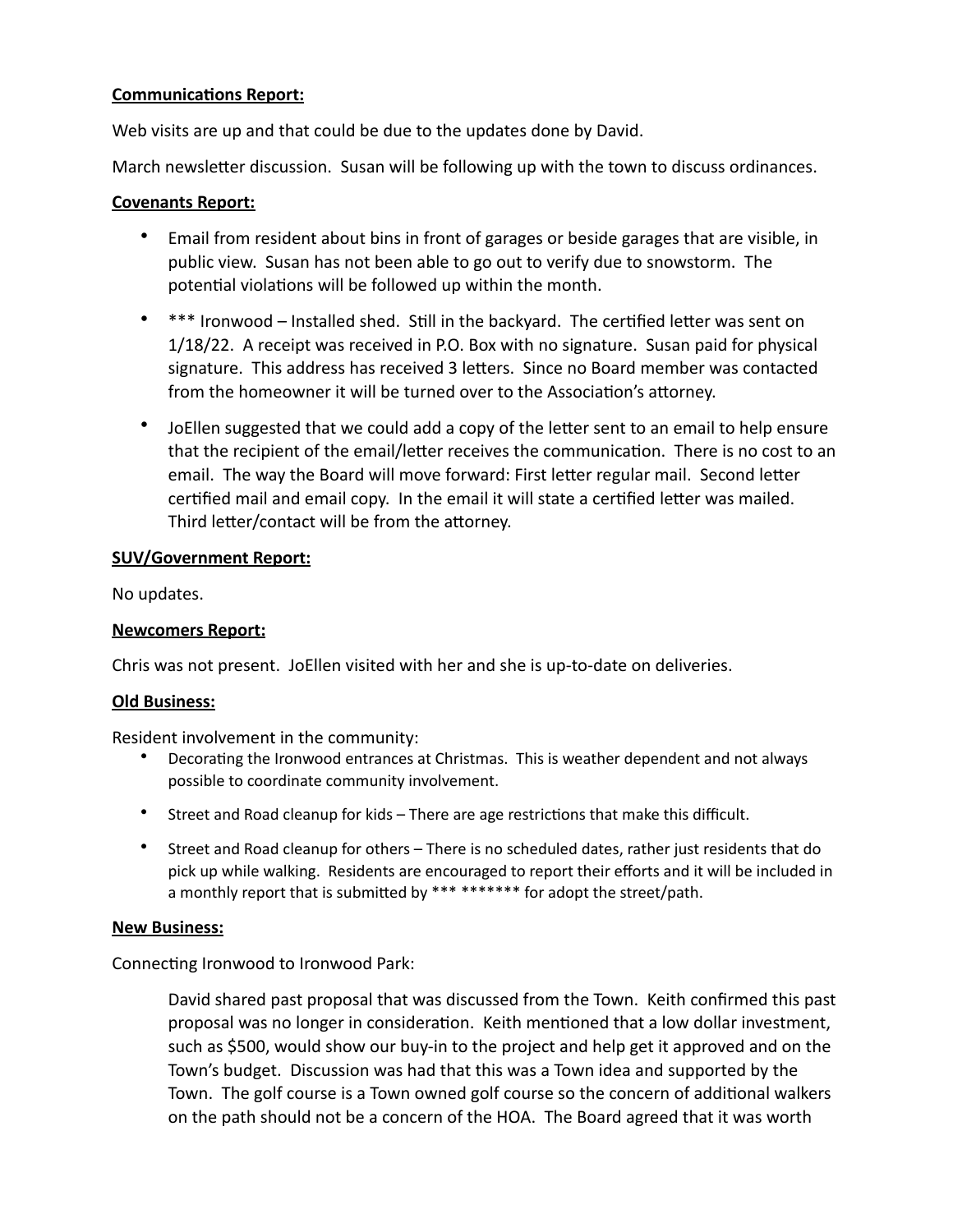## **Communications Report:**

Web visits are up and that could be due to the updates done by David.

March newsletter discussion. Susan will be following up with the town to discuss ordinances.

## **Covenants Report:**

- Email from resident about bins in front of garages or beside garages that are visible, in public view. Susan has not been able to go out to verify due to snowstorm. The potential violations will be followed up within the month.
- \*\*\* Ironwood Installed shed. Still in the backyard. The certified letter was sent on 1/18/22. A receipt was received in P.O. Box with no signature. Susan paid for physical signature. This address has received 3 letters. Since no Board member was contacted from the homeowner it will be turned over to the Association's attorney.
- JoEllen suggested that we could add a copy of the letter sent to an email to help ensure that the recipient of the email/letter receives the communication. There is no cost to an email. The way the Board will move forward: First letter regular mail. Second letter certified mail and email copy. In the email it will state a certified letter was mailed. Third letter/contact will be from the attorney.

# **SUV/Government Report:**

No updates.

## **Newcomers Report:**

Chris was not present. JoEllen visited with her and she is up-to-date on deliveries.

## **Old Business:**

Resident involvement in the community:

- Decorating the Ironwood entrances at Christmas. This is weather dependent and not always possible to coordinate community involvement.
- Street and Road cleanup for kids There are age restrictions that make this difficult.
- Street and Road cleanup for others There is no scheduled dates, rather just residents that do pick up while walking. Residents are encouraged to report their efforts and it will be included in a monthly report that is submitted by \*\*\* \*\*\*\*\*\*\* for adopt the street/path.

## **New Business:**

Connecting Ironwood to Ironwood Park:

David shared past proposal that was discussed from the Town. Keith confirmed this past proposal was no longer in consideration. Keith mentioned that a low dollar investment, such as \$500, would show our buy-in to the project and help get it approved and on the Town's budget. Discussion was had that this was a Town idea and supported by the Town. The golf course is a Town owned golf course so the concern of additional walkers on the path should not be a concern of the HOA. The Board agreed that it was worth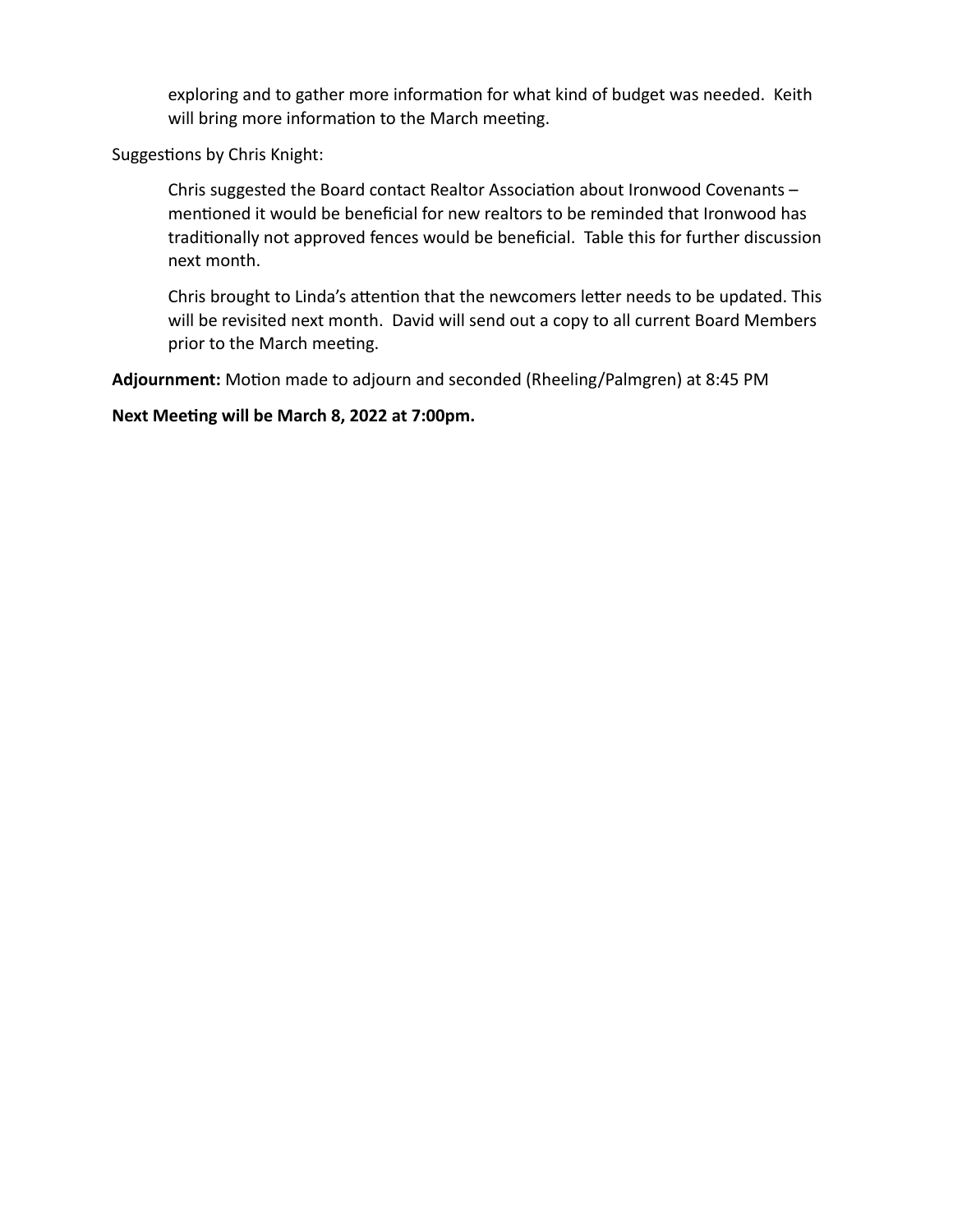exploring and to gather more information for what kind of budget was needed. Keith will bring more information to the March meeting.

Suggestions by Chris Knight:

Chris suggested the Board contact Realtor Association about Ironwood Covenants  $$ mentioned it would be beneficial for new realtors to be reminded that Ironwood has traditionally not approved fences would be beneficial. Table this for further discussion next month.

Chris brought to Linda's attention that the newcomers letter needs to be updated. This will be revisited next month. David will send out a copy to all current Board Members prior to the March meeting.

Adjournment: Motion made to adjourn and seconded (Rheeling/Palmgren) at 8:45 PM

Next Meeting will be March 8, 2022 at 7:00pm.